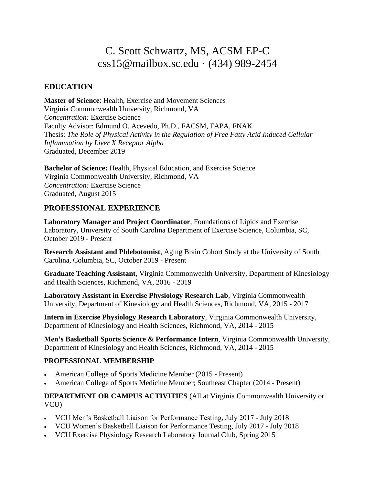# C. Scott Schwartz, MS, ACSM EP-C css15@mailbox.sc.edu · (434) 989-2454

### **EDUCATION**

**Master of Science**: Health, Exercise and Movement Sciences Virginia Commonwealth University, Richmond, VA *Concentration:* Exercise Science Faculty Advisor: Edmund O. Acevedo, Ph.D., FACSM, FAPA, FNAK Thesis: *The Role of Physical Activity in the Regulation of Free Fatty Acid Induced Cellular Inflammation by Liver X Receptor Alpha*  Graduated, December 2019

**Bachelor of Science:** Health, Physical Education, and Exercise Science Virginia Commonwealth University, Richmond, VA *Concentration:* Exercise Science Graduated, August 2015

#### **PROFESSIONAL EXPERIENCE**

**Laboratory Manager and Project Coordinator**, Foundations of Lipids and Exercise Laboratory, University of South Carolina Department of Exercise Science, Columbia, SC, October 2019 - Present

**Research Assistant and Phlebotomist**, Aging Brain Cohort Study at the University of South Carolina, Columbia, SC, October 2019 - Present

**Graduate Teaching Assistant**, Virginia Commonwealth University, Department of Kinesiology and Health Sciences, Richmond, VA, 2016 - 2019

**Laboratory Assistant in Exercise Physiology Research Lab**, Virginia Commonwealth University, Department of Kinesiology and Health Sciences, Richmond, VA, 2015 - 2017

**Intern in Exercise Physiology Research Laboratory**, Virginia Commonwealth University, Department of Kinesiology and Health Sciences, Richmond, VA, 2014 - 2015

**Men's Basketball Sports Science & Performance Intern**, Virginia Commonwealth University, Department of Kinesiology and Health Sciences, Richmond, VA, 2014 - 2015

#### **PROFESSIONAL MEMBERSHIP**

- American College of Sports Medicine Member (2015 Present)
- American College of Sports Medicine Member; Southeast Chapter (2014 Present)

**DEPARTMENT OR CAMPUS ACTIVITIES** (All at Virginia Commonwealth University or VCU)

- VCU Men's Basketball Liaison for Performance Testing, July 2017 July 2018
- VCU Women's Basketball Liaison for Performance Testing, July 2017 July 2018
- VCU Exercise Physiology Research Laboratory Journal Club, Spring 2015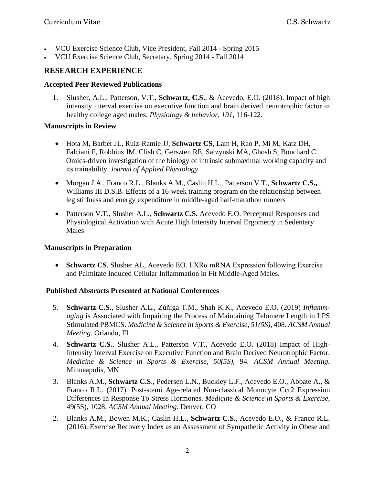- VCU Exercise Science Club, Vice President, Fall 2014 Spring 2015
- VCU Exercise Science Club, Secretary, Spring 2014 Fall 2014

# **RESEARCH EXPERIENCE**

#### **Accepted Peer Reviewed Publications**

1. Slusher, A.L., Patterson, V.T., **Schwartz, C.S.**, & Acevedo, E.O. (2018). Impact of high intensity interval exercise on executive function and brain derived neurotrophic factor in healthy college aged males. *Physiology & behavior*, *191*, 116-122.

#### **Manuscripts in Review**

- Hota M, Barber JL, Ruiz-Ramie JJ, **Schwartz CS**, Lam H, Rao P, Mi M, Katz DH, Falciani F, Robbins JM, Clish C, Gerszten RE, Sarzynski MA, Ghosh S, Bouchard C. Omics-driven investigation of the biology of intrinsic submaximal working capacity and its trainability. *Journal of Applied Physiology*
- Morgan J.A., Franco R.L., Blanks A.M., Caslin H.L., Patterson V.T., **Schwartz C.S.,** Williams III D.S.B. Effects of a 16-week training program on the relationship between leg stiffness and energy expenditure in middle-aged half-marathon runners
- Patterson V.T., Slusher A.L., **Schwartz C.S.** Acevedo E.O. Perceptual Responses and Physiological Activation with Acute High Intensity Interval Ergometry in Sedentary Males

#### **Manuscripts in Preparation**

• **Schwartz CS**, Slusher AL, Acevedo EO. LXRα mRNA Expression following Exercise and Palmitate Induced Cellular Inflammation in Fit Middle-Aged Males.

#### **Published Abstracts Presented at National Conferences**

- 5. **Schwartz C.S.**, Slusher A.L., Zúñiga T.M., Shah K.K., Acevedo E.O. (2019) *Inflammaging* is Associated with Impairing the Process of Maintaining Telomere Length in LPS Stimulated PBMCS. *Medicine & Science in Sports & Exercise, 51(5S),* 408. *ACSM Annual Meeting.* Orlando, FL
- 4. **Schwartz C.S.**, Slusher A.L., Patterson V.T., Acevedo E.O. (2018) Impact of High-Intensity Interval Exercise on Executive Function and Brain Derived Neurotrophic Factor. *Medicine & Science in Sports & Exercise, 50(5S),* 94*. ACSM Annual Meeting.*  Minneapolis, MN
- 3. Blanks A.M., **Schwartz C.S**., Pedersen L.N., Buckley L.F., Acevedo E.O., Abbate A., & Franco R.L. (2017). Post-stemi Age-related Non-classical Monocyte Ccr2 Expression Differences In Response To Stress Hormones. *Medicine & Science in Sports & Exercise*, 49(5S), 1028. *ACSM Annual Meeting*. Denver, CO
- 2. Blanks A.M., Bowen M.K., Caslin H.L., **Schwartz C.S.**, Acevedo E.O., & Franco R.L. (2016). Exercise Recovery Index as an Assessment of Sympathetic Activity in Obese and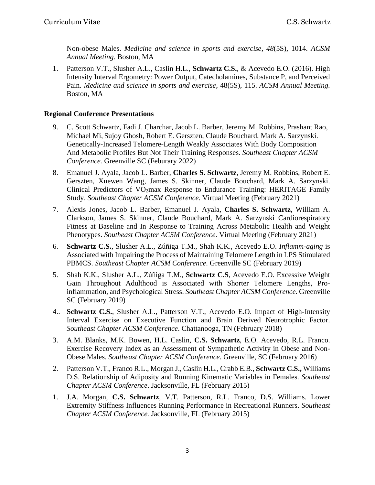Non-obese Males. *Medicine and science in sports and exercise*, *48*(5S), 1014. *ACSM Annual Meeting*. Boston, MA

1. Patterson V.T., Slusher A.L., Caslin H.L., **Schwartz C.S.**, & Acevedo E.O. (2016). High Intensity Interval Ergometry: Power Output, Catecholamines, Substance P, and Perceived Pain. *Medicine and science in sports and exercise*, 48(5S), 115. *ACSM Annual Meeting.*  Boston, MA

#### **Regional Conference Presentations**

- 9. C. Scott Schwartz, Fadi J. Charchar, Jacob L. Barber, Jeremy M. Robbins, Prashant Rao, Michael Mi, Sujoy Ghosh, Robert E. Gerszten, Claude Bouchard, Mark A. Sarzynski. Genetically-Increased Telomere-Length Weakly Associates With Body Composition And Metabolic Profiles But Not Their Training Responses. *Southeast Chapter ACSM Conference.* Greenville SC (Feburary 2022)
- 8. Emanuel J. Ayala, Jacob L. Barber, **Charles S. Schwartz**, Jeremy M. Robbins, Robert E. Gerszten, Xuewen Wang, James S. Skinner, Claude Bouchard, Mark A. Sarzynski. Clinical Predictors of VO2max Response to Endurance Training: HERITAGE Family Study. *Southeast Chapter ACSM Conference*. Virtual Meeting (February 2021)
- 7. Alexis Jones, Jacob L. Barber, Emanuel J. Ayala, **Charles S. Schwartz**, William A. Clarkson, James S. Skinner, Claude Bouchard, Mark A. Sarzynski Cardiorespiratory Fitness at Baseline and In Response to Training Across Metabolic Health and Weight Phenotypes. *Southeast Chapter ACSM Conference*. Virtual Meeting (February 2021)
- 6. **Schwartz C.S.**, Slusher A.L., Zúñiga T.M., Shah K.K., Acevedo E.O. *Inflamm-aging* is Associated with Impairing the Process of Maintaining Telomere Length in LPS Stimulated PBMCS. *Southeast Chapter ACSM Conference*. Greenville SC (February 2019)
- 5. Shah K.K., Slusher A.L., Zúñiga T.M., **Schwartz C.S**, Acevedo E.O. Excessive Weight Gain Throughout Adulthood is Associated with Shorter Telomere Lengths, Proinflammation, and Psychological Stress. *Southeast Chapter ACSM Conference*. Greenville SC (February 2019)
- 4.. **Schwartz C.S.**, Slusher A.L., Patterson V.T., Acevedo E.O. Impact of High-Intensity Interval Exercise on Executive Function and Brain Derived Neurotrophic Factor. *Southeast Chapter ACSM Conference*. Chattanooga, TN (February 2018)
- 3. A.M. Blanks, M.K. Bowen, H.L. Caslin, **C.S. Schwartz**, E.O. Acevedo, R.L. Franco. Exercise Recovery Index as an Assessment of Sympathetic Activity in Obese and Non-Obese Males. *Southeast Chapter ACSM Conference*. Greenville, SC (February 2016)
- 2. Patterson V.T., Franco R.L., Morgan J., Caslin H.L., Crabb E.B., **Schwartz C.S.,** Williams D.S. Relationship of Adiposity and Running Kinematic Variables in Females. *Southeast Chapter ACSM Conference*. Jacksonville, FL (February 2015)
- 1. J.A. Morgan, **C.S. Schwartz**, V.T. Patterson, R.L. Franco, D.S. Williams. Lower Extremity Stiffness Influences Running Performance in Recreational Runners. *Southeast Chapter ACSM Conference.* Jacksonville, FL (February 2015)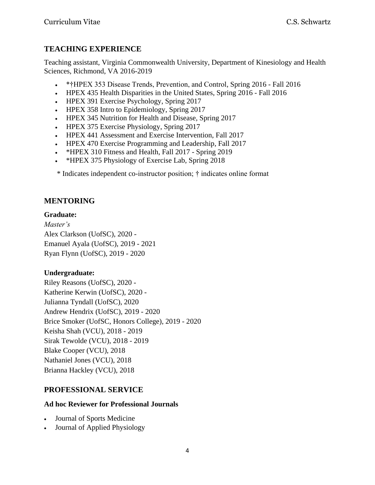# **TEACHING EXPERIENCE**

Teaching assistant, Virginia Commonwealth University, Department of Kinesiology and Health Sciences, Richmond, VA 2016-2019

- \*†HPEX 353 Disease Trends, Prevention, and Control, Spring 2016 Fall 2016
- HPEX 435 Health Disparities in the United States, Spring 2016 Fall 2016
- HPEX 391 Exercise Psychology, Spring 2017
- HPEX 358 Intro to Epidemiology, Spring 2017
- HPEX 345 Nutrition for Health and Disease, Spring 2017
- HPEX 375 Exercise Physiology, Spring 2017
- HPEX 441 Assessment and Exercise Intervention, Fall 2017
- HPEX 470 Exercise Programming and Leadership, Fall 2017
- \*HPEX 310 Fitness and Health, Fall 2017 Spring 2019
- \* HPEX 375 Physiology of Exercise Lab, Spring 2018

\* Indicates independent co-instructor position; † indicates online format

# **MENTORING**

### **Graduate:**

*Master's* Alex Clarkson (UofSC), 2020 - Emanuel Ayala (UofSC), 2019 - 2021 Ryan Flynn (UofSC), 2019 - 2020

### **Undergraduate:**

Riley Reasons (UofSC), 2020 - Katherine Kerwin (UofSC), 2020 - Julianna Tyndall (UofSC), 2020 Andrew Hendrix (UofSC), 2019 - 2020 Brice Smoker (UofSC, Honors College), 2019 - 2020 Keisha Shah (VCU), 2018 - 2019 Sirak Tewolde (VCU), 2018 - 2019 Blake Cooper (VCU), 2018 Nathaniel Jones (VCU), 2018 Brianna Hackley (VCU), 2018

# **PROFESSIONAL SERVICE**

### **Ad hoc Reviewer for Professional Journals**

- Journal of Sports Medicine
- Journal of Applied Physiology